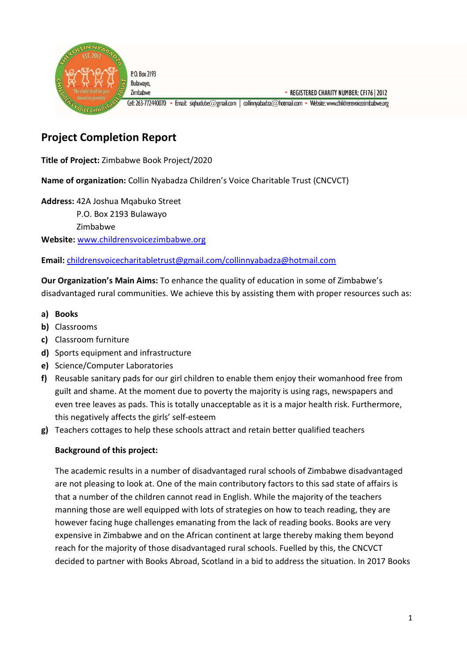

# **Project Completion Report**

**Title of Project:** Zimbabwe Book Project/2020

**Name of organization:** Collin Nyabadza Children's Voice Charitable Trust (CNCVCT)

**Address:** 42A Joshua Mqabuko Street P.O. Box 2193 Bulawayo Zimbabwe

**Website:** www.childrensvoicezimbabwe.org

**Email:** childrensvoicecharitabletrust@gmail.com/collinnyabadza@hotmail.com

**Our Organization's Main Aims:** To enhance the quality of education in some of Zimbabwe's disadvantaged rural communities. We achieve this by assisting them with proper resources such as:

#### **a) Books**

- **b)** Classrooms
- **c)** Classroom furniture
- **d)** Sports equipment and infrastructure
- **e)** Science/Computer Laboratories
- **f)** Reusable sanitary pads for our girl children to enable them enjoy their womanhood free from guilt and shame. At the moment due to poverty the majority is using rags, newspapers and even tree leaves as pads. This is totally unacceptable as it is a major health risk. Furthermore, this negatively affects the girls' self-esteem
- **g)** Teachers cottages to help these schools attract and retain better qualified teachers

# **Background of this project:**

The academic results in a number of disadvantaged rural schools of Zimbabwe disadvantaged are not pleasing to look at. One of the main contributory factors to this sad state of affairs is that a number of the children cannot read in English. While the majority of the teachers manning those are well equipped with lots of strategies on how to teach reading, they are however facing huge challenges emanating from the lack of reading books. Books are very expensive in Zimbabwe and on the African continent at large thereby making them beyond reach for the majority of those disadvantaged rural schools. Fuelled by this, the CNCVCT decided to partner with Books Abroad, Scotland in a bid to address the situation. In 2017 Books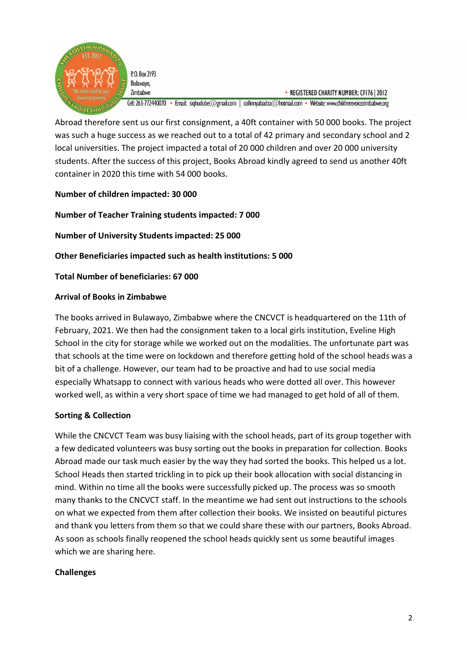

Bulawayo,

Zimbabwe • REGISTERED CHARITY NUMBER: CFI76 | 2012 Cell: 263-772440070 • Email: sighudube@gmail.com | collinnyabadza@hotmail.com • Website: www.childrensvoicezimbabwe.org

Abroad therefore sent us our first consignment, a 40ft container with 50 000 books. The project was such a huge success as we reached out to a total of 42 primary and secondary school and 2 local universities. The project impacted a total of 20 000 children and over 20 000 university students. After the success of this project, Books Abroad kindly agreed to send us another 40ft container in 2020 this time with 54 000 books.

# **Number of children impacted: 30 000**

**Number of Teacher Training students impacted: 7 000**

**Number of University Students impacted: 25 000** 

**Other Beneficiaries impacted such as health institutions: 5 000** 

**Total Number of beneficiaries: 67 000** 

#### **Arrival of Books in Zimbabwe**

The books arrived in Bulawayo, Zimbabwe where the CNCVCT is headquartered on the 11th of February, 2021. We then had the consignment taken to a local girls institution, Eveline High School in the city for storage while we worked out on the modalities. The unfortunate part was that schools at the time were on lockdown and therefore getting hold of the school heads was a bit of a challenge. However, our team had to be proactive and had to use social media especially Whatsapp to connect with various heads who were dotted all over. This however worked well, as within a very short space of time we had managed to get hold of all of them.

# **Sorting & Collection**

While the CNCVCT Team was busy liaising with the school heads, part of its group together with a few dedicated volunteers was busy sorting out the books in preparation for collection. Books Abroad made our task much easier by the way they had sorted the books. This helped us a lot. School Heads then started trickling in to pick up their book allocation with social distancing in mind. Within no time all the books were successfully picked up. The process was so smooth many thanks to the CNCVCT staff. In the meantime we had sent out instructions to the schools on what we expected from them after collection their books. We insisted on beautiful pictures and thank you letters from them so that we could share these with our partners, Books Abroad. As soon as schools finally reopened the school heads quickly sent us some beautiful images which we are sharing here.

#### **Challenges**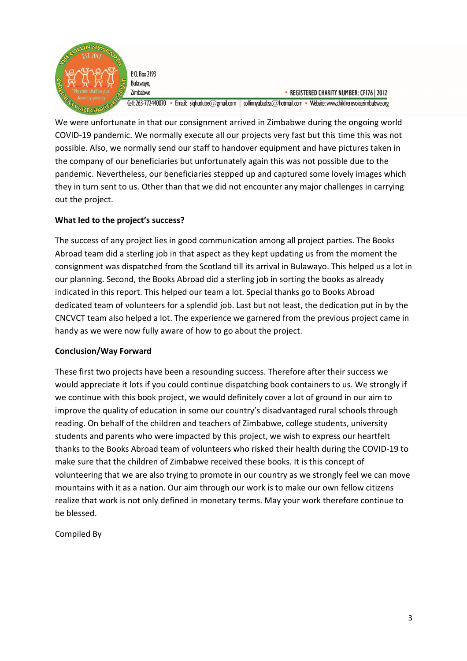

P.O. Box 2193 Bulawayo,

• REGISTERED CHARITY NUMBER: CFI76 | 2012 Cell: 263-772440070 · Email: sighudube@gmail.com | collinnyabadza@hotmail.com · Website: www.childrensvoicezimbabwe.org

We were unfortunate in that our consignment arrived in Zimbabwe during the ongoing world COVID-19 pandemic. We normally execute all our projects very fast but this time this was not possible. Also, we normally send our staff to handover equipment and have pictures taken in the company of our beneficiaries but unfortunately again this was not possible due to the pandemic. Nevertheless, our beneficiaries stepped up and captured some lovely images which they in turn sent to us. Other than that we did not encounter any major challenges in carrying out the project.

# **What led to the project's success?**

The success of any project lies in good communication among all project parties. The Books Abroad team did a sterling job in that aspect as they kept updating us from the moment the consignment was dispatched from the Scotland till its arrival in Bulawayo. This helped us a lot in our planning. Second, the Books Abroad did a sterling job in sorting the books as already indicated in this report. This helped our team a lot. Special thanks go to Books Abroad dedicated team of volunteers for a splendid job. Last but not least, the dedication put in by the CNCVCT team also helped a lot. The experience we garnered from the previous project came in handy as we were now fully aware of how to go about the project.

# **Conclusion/Way Forward**

These first two projects have been a resounding success. Therefore after their success we would appreciate it lots if you could continue dispatching book containers to us. We strongly if we continue with this book project, we would definitely cover a lot of ground in our aim to improve the quality of education in some our country's disadvantaged rural schools through reading. On behalf of the children and teachers of Zimbabwe, college students, university students and parents who were impacted by this project, we wish to express our heartfelt thanks to the Books Abroad team of volunteers who risked their health during the COVID-19 to make sure that the children of Zimbabwe received these books. It is this concept of volunteering that we are also trying to promote in our country as we strongly feel we can move mountains with it as a nation. Our aim through our work is to make our own fellow citizens realize that work is not only defined in monetary terms. May your work therefore continue to be blessed.

Compiled By